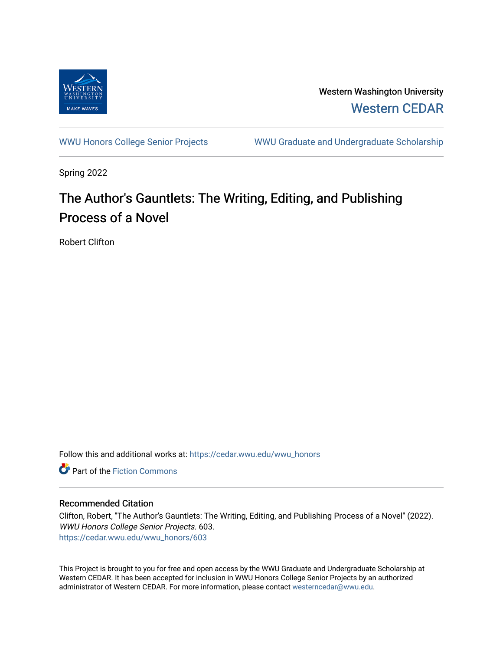

Western Washington University [Western CEDAR](https://cedar.wwu.edu/) 

[WWU Honors College Senior Projects](https://cedar.wwu.edu/wwu_honors) WWU Graduate and Undergraduate Scholarship

Spring 2022

# The Author's Gauntlets: The Writing, Editing, and Publishing Process of a Novel

Robert Clifton

Follow this and additional works at: [https://cedar.wwu.edu/wwu\\_honors](https://cedar.wwu.edu/wwu_honors?utm_source=cedar.wwu.edu%2Fwwu_honors%2F603&utm_medium=PDF&utm_campaign=PDFCoverPages) 

**C** Part of the Fiction Commons

## Recommended Citation

Clifton, Robert, "The Author's Gauntlets: The Writing, Editing, and Publishing Process of a Novel" (2022). WWU Honors College Senior Projects. 603. [https://cedar.wwu.edu/wwu\\_honors/603](https://cedar.wwu.edu/wwu_honors/603?utm_source=cedar.wwu.edu%2Fwwu_honors%2F603&utm_medium=PDF&utm_campaign=PDFCoverPages)

This Project is brought to you for free and open access by the WWU Graduate and Undergraduate Scholarship at Western CEDAR. It has been accepted for inclusion in WWU Honors College Senior Projects by an authorized administrator of Western CEDAR. For more information, please contact [westerncedar@wwu.edu](mailto:westerncedar@wwu.edu).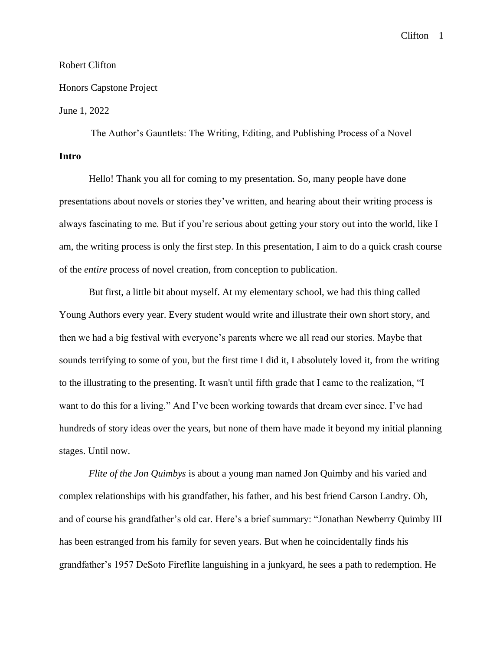#### Robert Clifton

## Honors Capstone Project

## June 1, 2022

The Author's Gauntlets: The Writing, Editing, and Publishing Process of a Novel **Intro**

Hello! Thank you all for coming to my presentation. So, many people have done presentations about novels or stories they've written, and hearing about their writing process is always fascinating to me. But if you're serious about getting your story out into the world, like I am, the writing process is only the first step. In this presentation, I aim to do a quick crash course of the *entire* process of novel creation, from conception to publication.

But first, a little bit about myself. At my elementary school, we had this thing called Young Authors every year. Every student would write and illustrate their own short story, and then we had a big festival with everyone's parents where we all read our stories. Maybe that sounds terrifying to some of you, but the first time I did it, I absolutely loved it, from the writing to the illustrating to the presenting. It wasn't until fifth grade that I came to the realization, "I want to do this for a living." And I've been working towards that dream ever since. I've had hundreds of story ideas over the years, but none of them have made it beyond my initial planning stages. Until now.

*Flite of the Jon Quimbys* is about a young man named Jon Quimby and his varied and complex relationships with his grandfather, his father, and his best friend Carson Landry. Oh, and of course his grandfather's old car. Here's a brief summary: "Jonathan Newberry Quimby III has been estranged from his family for seven years. But when he coincidentally finds his grandfather's 1957 DeSoto Fireflite languishing in a junkyard, he sees a path to redemption. He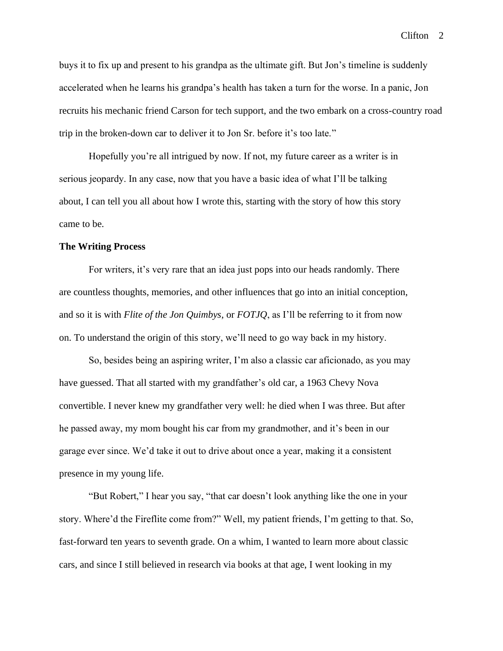buys it to fix up and present to his grandpa as the ultimate gift. But Jon's timeline is suddenly accelerated when he learns his grandpa's health has taken a turn for the worse. In a panic, Jon recruits his mechanic friend Carson for tech support, and the two embark on a cross-country road trip in the broken-down car to deliver it to Jon Sr. before it's too late."

Hopefully you're all intrigued by now. If not, my future career as a writer is in serious jeopardy. In any case, now that you have a basic idea of what I'll be talking about, I can tell you all about how I wrote this, starting with the story of how this story came to be.

#### **The Writing Process**

For writers, it's very rare that an idea just pops into our heads randomly. There are countless thoughts, memories, and other influences that go into an initial conception, and so it is with *Flite of the Jon Quimbys*, or *FOTJQ*, as I'll be referring to it from now on. To understand the origin of this story, we'll need to go way back in my history.

So, besides being an aspiring writer, I'm also a classic car aficionado, as you may have guessed. That all started with my grandfather's old car, a 1963 Chevy Nova convertible. I never knew my grandfather very well: he died when I was three. But after he passed away, my mom bought his car from my grandmother, and it's been in our garage ever since. We'd take it out to drive about once a year, making it a consistent presence in my young life.

"But Robert," I hear you say, "that car doesn't look anything like the one in your story. Where'd the Fireflite come from?" Well, my patient friends, I'm getting to that. So, fast-forward ten years to seventh grade. On a whim, I wanted to learn more about classic cars, and since I still believed in research via books at that age, I went looking in my

Clifton 2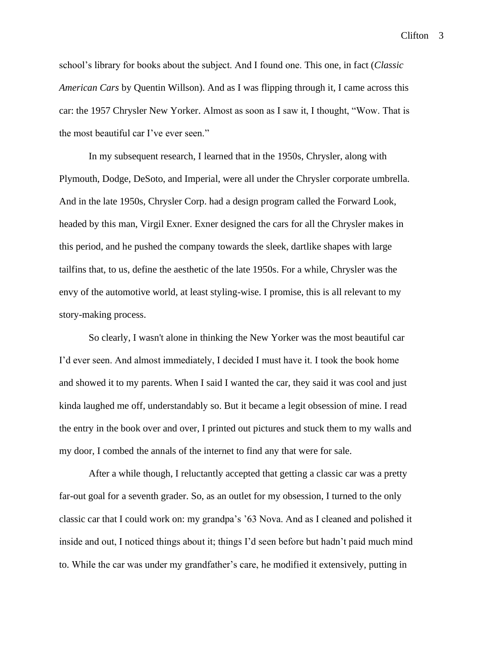school's library for books about the subject. And I found one. This one, in fact (*Classic American Cars* by Quentin Willson). And as I was flipping through it, I came across this car: the 1957 Chrysler New Yorker. Almost as soon as I saw it, I thought, "Wow. That is the most beautiful car I've ever seen."

In my subsequent research, I learned that in the 1950s, Chrysler, along with Plymouth, Dodge, DeSoto, and Imperial, were all under the Chrysler corporate umbrella. And in the late 1950s, Chrysler Corp. had a design program called the Forward Look, headed by this man, Virgil Exner. Exner designed the cars for all the Chrysler makes in this period, and he pushed the company towards the sleek, dartlike shapes with large tailfins that, to us, define the aesthetic of the late 1950s. For a while, Chrysler was the envy of the automotive world, at least styling-wise. I promise, this is all relevant to my story-making process.

So clearly, I wasn't alone in thinking the New Yorker was the most beautiful car I'd ever seen. And almost immediately, I decided I must have it. I took the book home and showed it to my parents. When I said I wanted the car, they said it was cool and just kinda laughed me off, understandably so. But it became a legit obsession of mine. I read the entry in the book over and over, I printed out pictures and stuck them to my walls and my door, I combed the annals of the internet to find any that were for sale.

After a while though, I reluctantly accepted that getting a classic car was a pretty far-out goal for a seventh grader. So, as an outlet for my obsession, I turned to the only classic car that I could work on: my grandpa's '63 Nova. And as I cleaned and polished it inside and out, I noticed things about it; things I'd seen before but hadn't paid much mind to. While the car was under my grandfather's care, he modified it extensively, putting in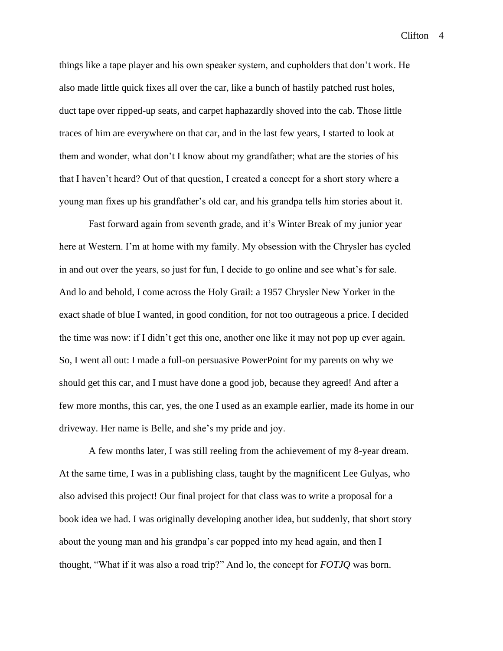things like a tape player and his own speaker system, and cupholders that don't work. He also made little quick fixes all over the car, like a bunch of hastily patched rust holes, duct tape over ripped-up seats, and carpet haphazardly shoved into the cab. Those little traces of him are everywhere on that car, and in the last few years, I started to look at them and wonder, what don't I know about my grandfather; what are the stories of his that I haven't heard? Out of that question, I created a concept for a short story where a young man fixes up his grandfather's old car, and his grandpa tells him stories about it.

Fast forward again from seventh grade, and it's Winter Break of my junior year here at Western. I'm at home with my family. My obsession with the Chrysler has cycled in and out over the years, so just for fun, I decide to go online and see what's for sale. And lo and behold, I come across the Holy Grail: a 1957 Chrysler New Yorker in the exact shade of blue I wanted, in good condition, for not too outrageous a price. I decided the time was now: if I didn't get this one, another one like it may not pop up ever again. So, I went all out: I made a full-on persuasive PowerPoint for my parents on why we should get this car, and I must have done a good job, because they agreed! And after a few more months, this car, yes, the one I used as an example earlier, made its home in our driveway. Her name is Belle, and she's my pride and joy.

A few months later, I was still reeling from the achievement of my 8-year dream. At the same time, I was in a publishing class, taught by the magnificent Lee Gulyas, who also advised this project! Our final project for that class was to write a proposal for a book idea we had. I was originally developing another idea, but suddenly, that short story about the young man and his grandpa's car popped into my head again, and then I thought, "What if it was also a road trip?" And lo, the concept for *FOTJQ* was born.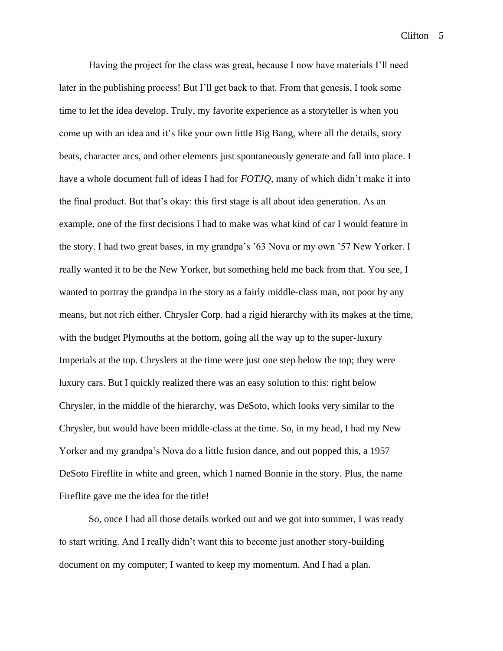Having the project for the class was great, because I now have materials I'll need later in the publishing process! But I'll get back to that. From that genesis, I took some time to let the idea develop. Truly, my favorite experience as a storyteller is when you come up with an idea and it's like your own little Big Bang, where all the details, story beats, character arcs, and other elements just spontaneously generate and fall into place. I have a whole document full of ideas I had for *FOTJQ*, many of which didn't make it into the final product. But that's okay: this first stage is all about idea generation. As an example, one of the first decisions I had to make was what kind of car I would feature in the story. I had two great bases, in my grandpa's '63 Nova or my own '57 New Yorker. I really wanted it to be the New Yorker, but something held me back from that. You see, I wanted to portray the grandpa in the story as a fairly middle-class man, not poor by any means, but not rich either. Chrysler Corp. had a rigid hierarchy with its makes at the time, with the budget Plymouths at the bottom, going all the way up to the super-luxury Imperials at the top. Chryslers at the time were just one step below the top; they were luxury cars. But I quickly realized there was an easy solution to this: right below Chrysler, in the middle of the hierarchy, was DeSoto, which looks very similar to the Chrysler, but would have been middle-class at the time. So, in my head, I had my New Yorker and my grandpa's Nova do a little fusion dance, and out popped this, a 1957 DeSoto Fireflite in white and green, which I named Bonnie in the story. Plus, the name Fireflite gave me the idea for the title!

So, once I had all those details worked out and we got into summer, I was ready to start writing. And I really didn't want this to become just another story-building document on my computer; I wanted to keep my momentum. And I had a plan.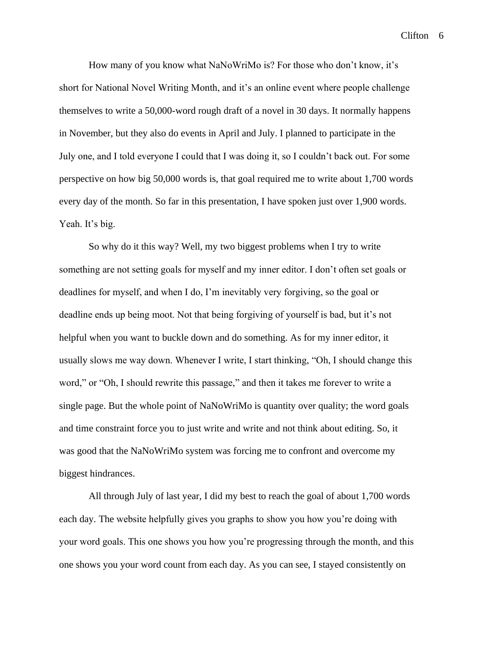How many of you know what NaNoWriMo is? For those who don't know, it's short for National Novel Writing Month, and it's an online event where people challenge themselves to write a 50,000-word rough draft of a novel in 30 days. It normally happens in November, but they also do events in April and July. I planned to participate in the July one, and I told everyone I could that I was doing it, so I couldn't back out. For some perspective on how big 50,000 words is, that goal required me to write about 1,700 words every day of the month. So far in this presentation, I have spoken just over 1,900 words. Yeah. It's big.

So why do it this way? Well, my two biggest problems when I try to write something are not setting goals for myself and my inner editor. I don't often set goals or deadlines for myself, and when I do, I'm inevitably very forgiving, so the goal or deadline ends up being moot. Not that being forgiving of yourself is bad, but it's not helpful when you want to buckle down and do something. As for my inner editor, it usually slows me way down. Whenever I write, I start thinking, "Oh, I should change this word," or "Oh, I should rewrite this passage," and then it takes me forever to write a single page. But the whole point of NaNoWriMo is quantity over quality; the word goals and time constraint force you to just write and write and not think about editing. So, it was good that the NaNoWriMo system was forcing me to confront and overcome my biggest hindrances.

All through July of last year, I did my best to reach the goal of about 1,700 words each day. The website helpfully gives you graphs to show you how you're doing with your word goals. This one shows you how you're progressing through the month, and this one shows you your word count from each day. As you can see, I stayed consistently on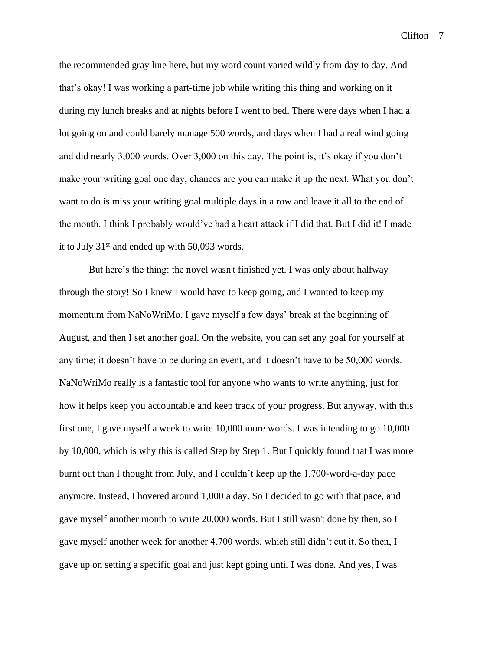the recommended gray line here, but my word count varied wildly from day to day. And that's okay! I was working a part-time job while writing this thing and working on it during my lunch breaks and at nights before I went to bed. There were days when I had a lot going on and could barely manage 500 words, and days when I had a real wind going and did nearly 3,000 words. Over 3,000 on this day. The point is, it's okay if you don't make your writing goal one day; chances are you can make it up the next. What you don't want to do is miss your writing goal multiple days in a row and leave it all to the end of the month. I think I probably would've had a heart attack if I did that. But I did it! I made it to July 31st and ended up with 50,093 words.

But here's the thing: the novel wasn't finished yet. I was only about halfway through the story! So I knew I would have to keep going, and I wanted to keep my momentum from NaNoWriMo. I gave myself a few days' break at the beginning of August, and then I set another goal. On the website, you can set any goal for yourself at any time; it doesn't have to be during an event, and it doesn't have to be 50,000 words. NaNoWriMo really is a fantastic tool for anyone who wants to write anything, just for how it helps keep you accountable and keep track of your progress. But anyway, with this first one, I gave myself a week to write 10,000 more words. I was intending to go 10,000 by 10,000, which is why this is called Step by Step 1. But I quickly found that I was more burnt out than I thought from July, and I couldn't keep up the 1,700-word-a-day pace anymore. Instead, I hovered around 1,000 a day. So I decided to go with that pace, and gave myself another month to write 20,000 words. But I still wasn't done by then, so I gave myself another week for another 4,700 words, which still didn't cut it. So then, I gave up on setting a specific goal and just kept going until I was done. And yes, I was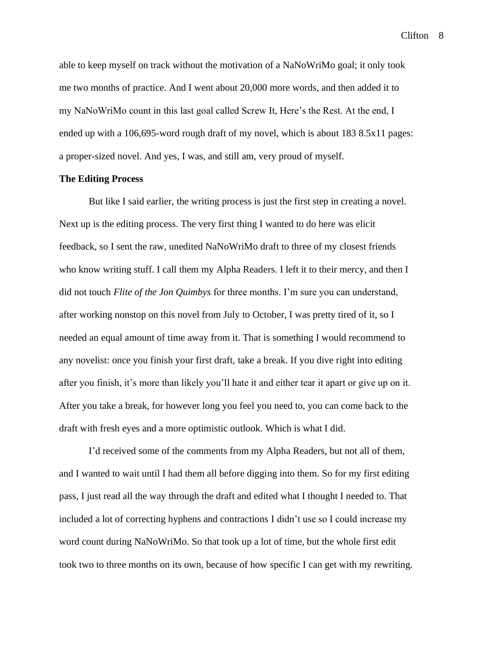able to keep myself on track without the motivation of a NaNoWriMo goal; it only took me two months of practice. And I went about 20,000 more words, and then added it to my NaNoWriMo count in this last goal called Screw It, Here's the Rest. At the end, I ended up with a 106,695-word rough draft of my novel, which is about 183 8.5x11 pages: a proper-sized novel. And yes, I was, and still am, very proud of myself.

#### **The Editing Process**

But like I said earlier, the writing process is just the first step in creating a novel. Next up is the editing process. The very first thing I wanted to do here was elicit feedback, so I sent the raw, unedited NaNoWriMo draft to three of my closest friends who know writing stuff. I call them my Alpha Readers. I left it to their mercy, and then I did not touch *Flite of the Jon Quimbys* for three months. I'm sure you can understand, after working nonstop on this novel from July to October, I was pretty tired of it, so I needed an equal amount of time away from it. That is something I would recommend to any novelist: once you finish your first draft, take a break. If you dive right into editing after you finish, it's more than likely you'll hate it and either tear it apart or give up on it. After you take a break, for however long you feel you need to, you can come back to the draft with fresh eyes and a more optimistic outlook. Which is what I did.

I'd received some of the comments from my Alpha Readers, but not all of them, and I wanted to wait until I had them all before digging into them. So for my first editing pass, I just read all the way through the draft and edited what I thought I needed to. That included a lot of correcting hyphens and contractions I didn't use so I could increase my word count during NaNoWriMo. So that took up a lot of time, but the whole first edit took two to three months on its own, because of how specific I can get with my rewriting.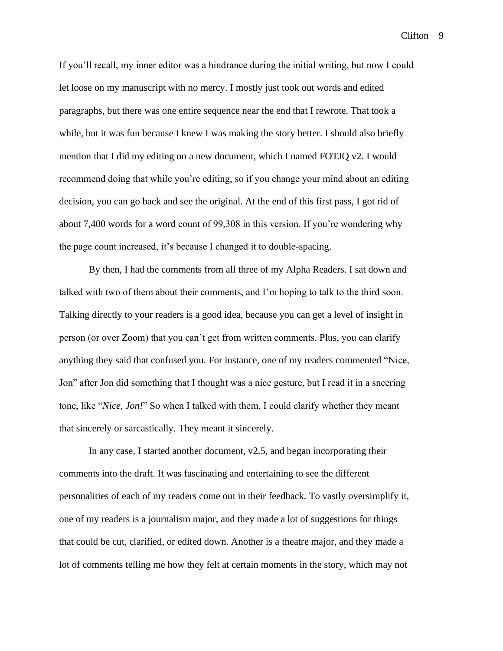Clifton<sub>9</sub>

If you'll recall, my inner editor was a hindrance during the initial writing, but now I could let loose on my manuscript with no mercy. I mostly just took out words and edited paragraphs, but there was one entire sequence near the end that I rewrote. That took a while, but it was fun because I knew I was making the story better. I should also briefly mention that I did my editing on a new document, which I named FOTJQ v2. I would recommend doing that while you're editing, so if you change your mind about an editing decision, you can go back and see the original. At the end of this first pass, I got rid of about 7,400 words for a word count of 99,308 in this version. If you're wondering why the page count increased, it's because I changed it to double-spacing.

By then, I had the comments from all three of my Alpha Readers. I sat down and talked with two of them about their comments, and I'm hoping to talk to the third soon. Talking directly to your readers is a good idea, because you can get a level of insight in person (or over Zoom) that you can't get from written comments. Plus, you can clarify anything they said that confused you. For instance, one of my readers commented "Nice, Jon" after Jon did something that I thought was a nice gesture, but I read it in a sneering tone, like "*Nice, Jon!*" So when I talked with them, I could clarify whether they meant that sincerely or sarcastically. They meant it sincerely.

In any case, I started another document, v2.5, and began incorporating their comments into the draft. It was fascinating and entertaining to see the different personalities of each of my readers come out in their feedback. To vastly oversimplify it, one of my readers is a journalism major, and they made a lot of suggestions for things that could be cut, clarified, or edited down. Another is a theatre major, and they made a lot of comments telling me how they felt at certain moments in the story, which may not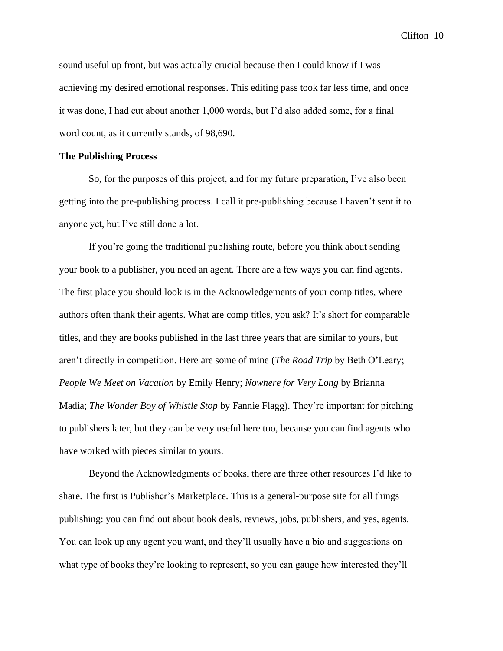sound useful up front, but was actually crucial because then I could know if I was achieving my desired emotional responses. This editing pass took far less time, and once it was done, I had cut about another 1,000 words, but I'd also added some, for a final word count, as it currently stands, of 98,690.

#### **The Publishing Process**

So, for the purposes of this project, and for my future preparation, I've also been getting into the pre-publishing process. I call it pre-publishing because I haven't sent it to anyone yet, but I've still done a lot.

If you're going the traditional publishing route, before you think about sending your book to a publisher, you need an agent. There are a few ways you can find agents. The first place you should look is in the Acknowledgements of your comp titles, where authors often thank their agents. What are comp titles, you ask? It's short for comparable titles, and they are books published in the last three years that are similar to yours, but aren't directly in competition. Here are some of mine (*The Road Trip* by Beth O'Leary; *People We Meet on Vacation* by Emily Henry; *Nowhere for Very Long* by Brianna Madia; *The Wonder Boy of Whistle Stop* by Fannie Flagg). They're important for pitching to publishers later, but they can be very useful here too, because you can find agents who have worked with pieces similar to yours.

Beyond the Acknowledgments of books, there are three other resources I'd like to share. The first is Publisher's Marketplace. This is a general-purpose site for all things publishing: you can find out about book deals, reviews, jobs, publishers, and yes, agents. You can look up any agent you want, and they'll usually have a bio and suggestions on what type of books they're looking to represent, so you can gauge how interested they'll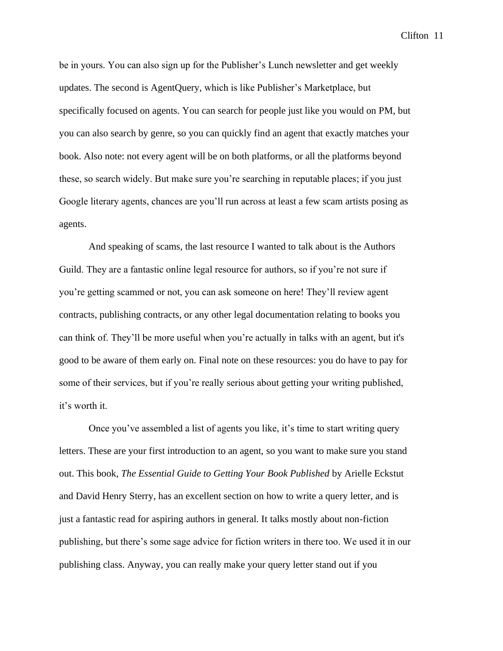be in yours. You can also sign up for the Publisher's Lunch newsletter and get weekly updates. The second is AgentQuery, which is like Publisher's Marketplace, but specifically focused on agents. You can search for people just like you would on PM, but you can also search by genre, so you can quickly find an agent that exactly matches your book. Also note: not every agent will be on both platforms, or all the platforms beyond these, so search widely. But make sure you're searching in reputable places; if you just Google literary agents, chances are you'll run across at least a few scam artists posing as agents.

And speaking of scams, the last resource I wanted to talk about is the Authors Guild. They are a fantastic online legal resource for authors, so if you're not sure if you're getting scammed or not, you can ask someone on here! They'll review agent contracts, publishing contracts, or any other legal documentation relating to books you can think of. They'll be more useful when you're actually in talks with an agent, but it's good to be aware of them early on. Final note on these resources: you do have to pay for some of their services, but if you're really serious about getting your writing published, it's worth it.

Once you've assembled a list of agents you like, it's time to start writing query letters. These are your first introduction to an agent, so you want to make sure you stand out. This book, *The Essential Guide to Getting Your Book Published* by Arielle Eckstut and David Henry Sterry, has an excellent section on how to write a query letter, and is just a fantastic read for aspiring authors in general. It talks mostly about non-fiction publishing, but there's some sage advice for fiction writers in there too. We used it in our publishing class. Anyway, you can really make your query letter stand out if you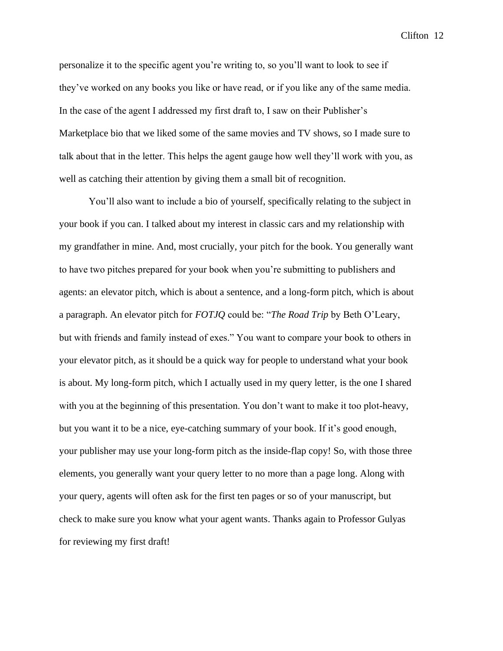personalize it to the specific agent you're writing to, so you'll want to look to see if they've worked on any books you like or have read, or if you like any of the same media. In the case of the agent I addressed my first draft to, I saw on their Publisher's Marketplace bio that we liked some of the same movies and TV shows, so I made sure to talk about that in the letter. This helps the agent gauge how well they'll work with you, as well as catching their attention by giving them a small bit of recognition.

You'll also want to include a bio of yourself, specifically relating to the subject in your book if you can. I talked about my interest in classic cars and my relationship with my grandfather in mine. And, most crucially, your pitch for the book. You generally want to have two pitches prepared for your book when you're submitting to publishers and agents: an elevator pitch, which is about a sentence, and a long-form pitch, which is about a paragraph. An elevator pitch for *FOTJQ* could be: "*The Road Trip* by Beth O'Leary, but with friends and family instead of exes." You want to compare your book to others in your elevator pitch, as it should be a quick way for people to understand what your book is about. My long-form pitch, which I actually used in my query letter, is the one I shared with you at the beginning of this presentation. You don't want to make it too plot-heavy, but you want it to be a nice, eye-catching summary of your book. If it's good enough, your publisher may use your long-form pitch as the inside-flap copy! So, with those three elements, you generally want your query letter to no more than a page long. Along with your query, agents will often ask for the first ten pages or so of your manuscript, but check to make sure you know what your agent wants. Thanks again to Professor Gulyas for reviewing my first draft!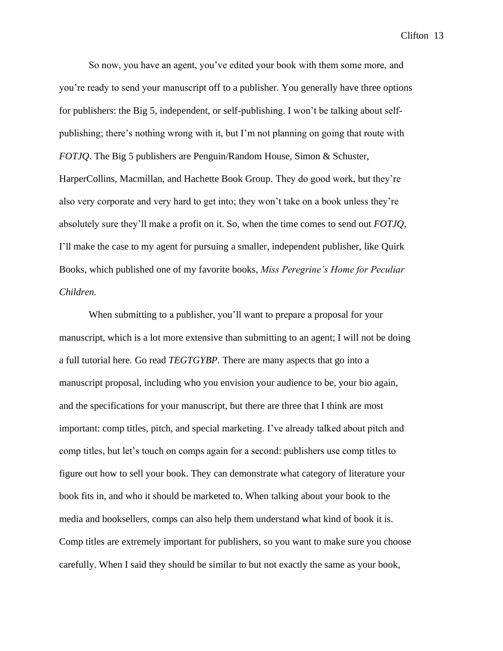So now, you have an agent, you've edited your book with them some more, and you're ready to send your manuscript off to a publisher. You generally have three options for publishers: the Big 5, independent, or self-publishing. I won't be talking about selfpublishing; there's nothing wrong with it, but I'm not planning on going that route with *FOTJQ*. The Big 5 publishers are Penguin/Random House, Simon & Schuster, HarperCollins, Macmillan, and Hachette Book Group. They do good work, but they're also very corporate and very hard to get into; they won't take on a book unless they're absolutely sure they'll make a profit on it. So, when the time comes to send out *FOTJQ*, I'll make the case to my agent for pursuing a smaller, independent publisher, like Quirk Books, which published one of my favorite books, *Miss Peregrine's Home for Peculiar Children.*

When submitting to a publisher, you'll want to prepare a proposal for your manuscript, which is a lot more extensive than submitting to an agent; I will not be doing a full tutorial here. Go read *TEGTGYBP*. There are many aspects that go into a manuscript proposal, including who you envision your audience to be, your bio again, and the specifications for your manuscript, but there are three that I think are most important: comp titles, pitch, and special marketing. I've already talked about pitch and comp titles, but let's touch on comps again for a second: publishers use comp titles to figure out how to sell your book. They can demonstrate what category of literature your book fits in, and who it should be marketed to. When talking about your book to the media and booksellers, comps can also help them understand what kind of book it is. Comp titles are extremely important for publishers, so you want to make sure you choose carefully. When I said they should be similar to but not exactly the same as your book,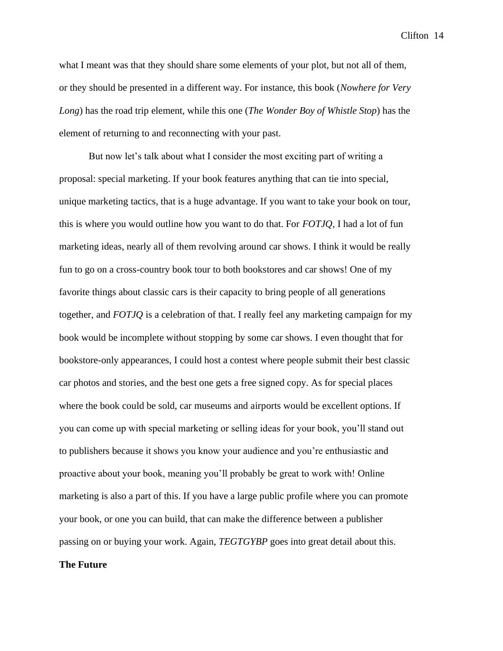what I meant was that they should share some elements of your plot, but not all of them, or they should be presented in a different way. For instance, this book (*Nowhere for Very Long*) has the road trip element, while this one (*The Wonder Boy of Whistle Stop*) has the element of returning to and reconnecting with your past.

But now let's talk about what I consider the most exciting part of writing a proposal: special marketing. If your book features anything that can tie into special, unique marketing tactics, that is a huge advantage. If you want to take your book on tour, this is where you would outline how you want to do that. For *FOTJQ*, I had a lot of fun marketing ideas, nearly all of them revolving around car shows. I think it would be really fun to go on a cross-country book tour to both bookstores and car shows! One of my favorite things about classic cars is their capacity to bring people of all generations together, and *FOTJQ* is a celebration of that. I really feel any marketing campaign for my book would be incomplete without stopping by some car shows. I even thought that for bookstore-only appearances, I could host a contest where people submit their best classic car photos and stories, and the best one gets a free signed copy. As for special places where the book could be sold, car museums and airports would be excellent options. If you can come up with special marketing or selling ideas for your book, you'll stand out to publishers because it shows you know your audience and you're enthusiastic and proactive about your book, meaning you'll probably be great to work with! Online marketing is also a part of this. If you have a large public profile where you can promote your book, or one you can build, that can make the difference between a publisher passing on or buying your work. Again, *TEGTGYBP* goes into great detail about this.

## **The Future**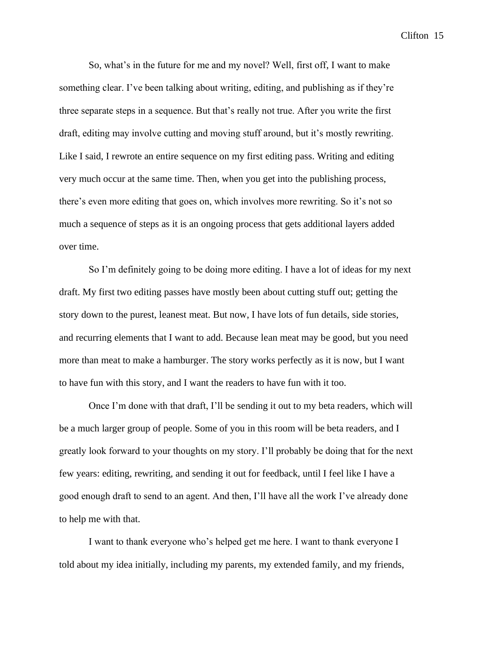So, what's in the future for me and my novel? Well, first off, I want to make something clear. I've been talking about writing, editing, and publishing as if they're three separate steps in a sequence. But that's really not true. After you write the first draft, editing may involve cutting and moving stuff around, but it's mostly rewriting. Like I said, I rewrote an entire sequence on my first editing pass. Writing and editing very much occur at the same time. Then, when you get into the publishing process, there's even more editing that goes on, which involves more rewriting. So it's not so much a sequence of steps as it is an ongoing process that gets additional layers added over time.

So I'm definitely going to be doing more editing. I have a lot of ideas for my next draft. My first two editing passes have mostly been about cutting stuff out; getting the story down to the purest, leanest meat. But now, I have lots of fun details, side stories, and recurring elements that I want to add. Because lean meat may be good, but you need more than meat to make a hamburger. The story works perfectly as it is now, but I want to have fun with this story, and I want the readers to have fun with it too.

Once I'm done with that draft, I'll be sending it out to my beta readers, which will be a much larger group of people. Some of you in this room will be beta readers, and I greatly look forward to your thoughts on my story. I'll probably be doing that for the next few years: editing, rewriting, and sending it out for feedback, until I feel like I have a good enough draft to send to an agent. And then, I'll have all the work I've already done to help me with that.

I want to thank everyone who's helped get me here. I want to thank everyone I told about my idea initially, including my parents, my extended family, and my friends,